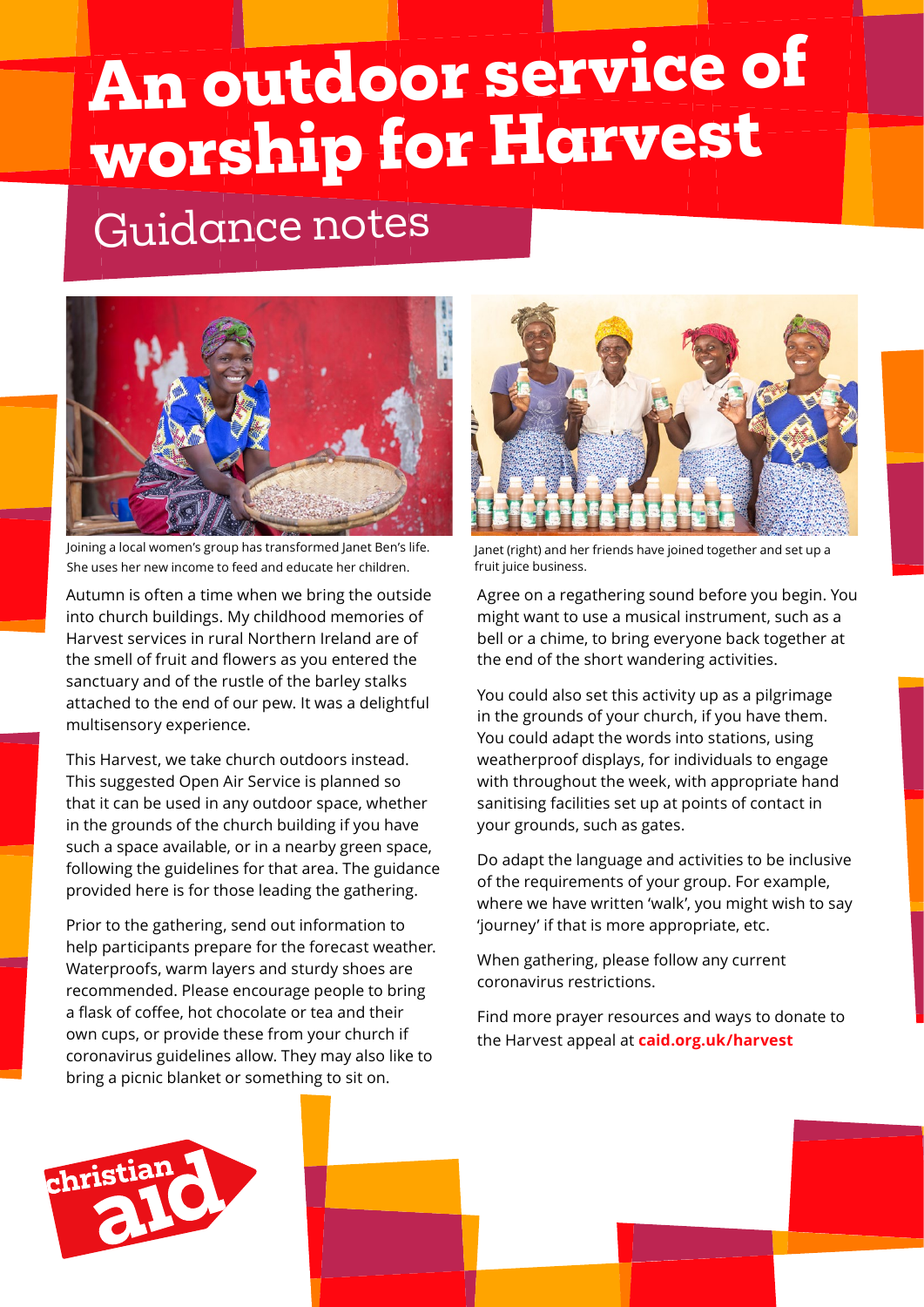# **An outdoor service of worship for Harvest**

# Guidance notes



Joining a local women's group has transformed Janet Ben's life. She uses her new income to feed and educate her children.

Autumn is often a time when we bring the outside into church buildings. My childhood memories of Harvest services in rural Northern Ireland are of the smell of fruit and flowers as you entered the sanctuary and of the rustle of the barley stalks attached to the end of our pew. It was a delightful multisensory experience.

This Harvest, we take church outdoors instead. This suggested Open Air Service is planned so that it can be used in any outdoor space, whether in the grounds of the church building if you have such a space available, or in a nearby green space, following the guidelines for that area. The guidance provided here is for those leading the gathering.

Prior to the gathering, send out information to help participants prepare for the forecast weather. Waterproofs, warm layers and sturdy shoes are recommended. Please encourage people to bring a flask of coffee, hot chocolate or tea and their own cups, or provide these from your church if coronavirus guidelines allow. They may also like to bring a picnic blanket or something to sit on.



Janet (right) and her friends have joined together and set up a fruit juice business.

Agree on a regathering sound before you begin. You might want to use a musical instrument, such as a bell or a chime, to bring everyone back together at the end of the short wandering activities.

You could also set this activity up as a pilgrimage in the grounds of your church, if you have them. You could adapt the words into stations, using weatherproof displays, for individuals to engage with throughout the week, with appropriate hand sanitising facilities set up at points of contact in your grounds, such as gates.

Do adapt the language and activities to be inclusive of the requirements of your group. For example, where we have written 'walk', you might wish to say 'journey' if that is more appropriate, etc.

When gathering, please follow any current coronavirus restrictions.

Find more prayer resources and ways to donate to the Harvest appeal at **caid.org.uk/harvest**

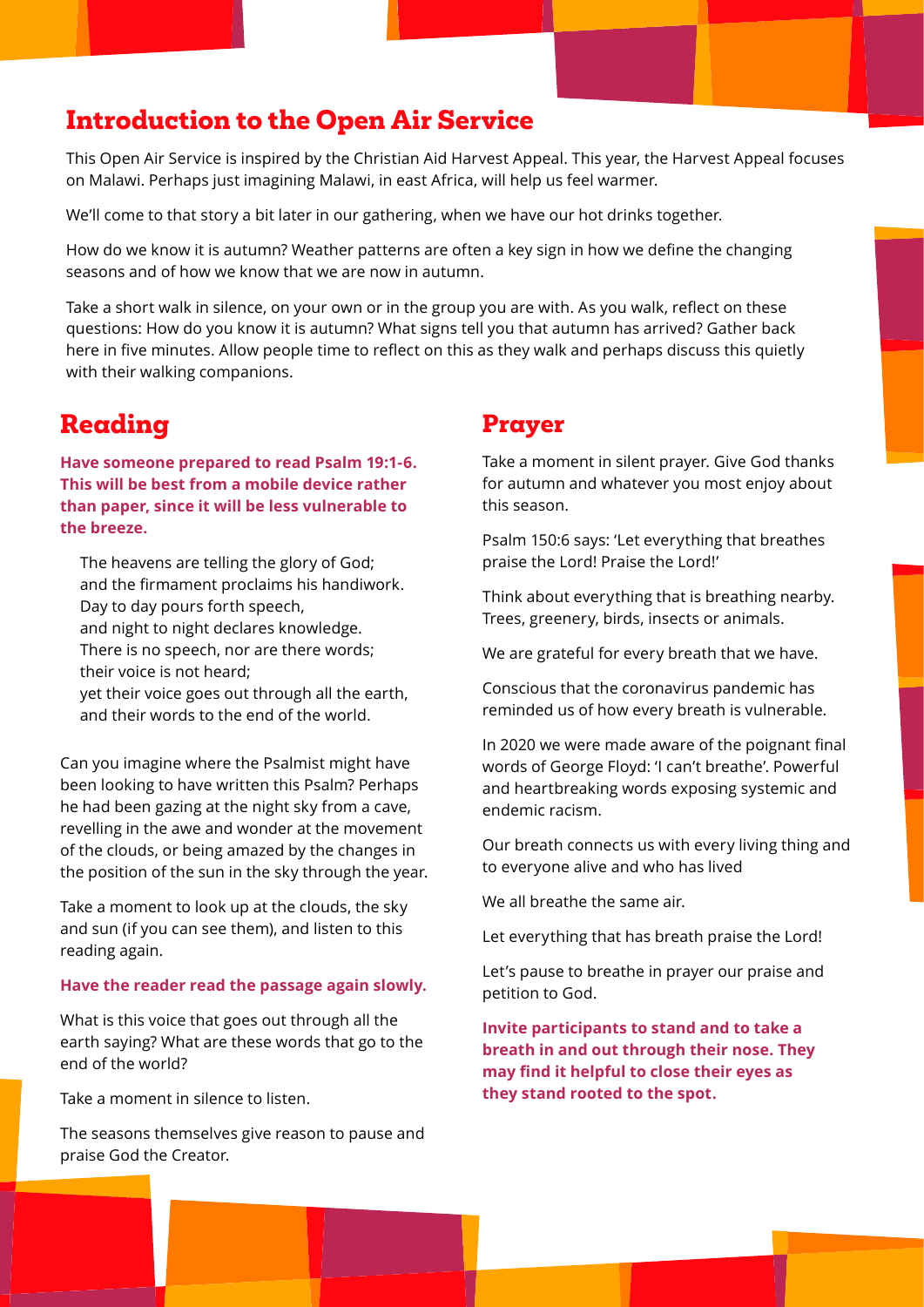# **Introduction to the Open Air Service**

This Open Air Service is inspired by the Christian Aid Harvest Appeal. This year, the Harvest Appeal focuses on Malawi. Perhaps just imagining Malawi, in east Africa, will help us feel warmer.

We'll come to that story a bit later in our gathering, when we have our hot drinks together.

How do we know it is autumn? Weather patterns are often a key sign in how we define the changing seasons and of how we know that we are now in autumn.

Take a short walk in silence, on your own or in the group you are with. As you walk, reflect on these questions: How do you know it is autumn? What signs tell you that autumn has arrived? Gather back here in five minutes. Allow people time to reflect on this as they walk and perhaps discuss this quietly with their walking companions.

# **Reading**

**Have someone prepared to read Psalm 19:1-6. This will be best from a mobile device rather than paper, since it will be less vulnerable to the breeze.** 

The heavens are telling the glory of God; and the firmament proclaims his handiwork. Day to day pours forth speech,

and night to night declares knowledge.

There is no speech, nor are there words;

their voice is not heard;

yet their voice goes out through all the earth, and their words to the end of the world.

Can you imagine where the Psalmist might have been looking to have written this Psalm? Perhaps he had been gazing at the night sky from a cave, revelling in the awe and wonder at the movement of the clouds, or being amazed by the changes in the position of the sun in the sky through the year.

Take a moment to look up at the clouds, the sky and sun (if you can see them), and listen to this reading again.

#### **Have the reader read the passage again slowly.**

What is this voice that goes out through all the earth saying? What are these words that go to the end of the world?

Take a moment in silence to listen.

The seasons themselves give reason to pause and praise God the Creator.

#### **Prayer**

Take a moment in silent prayer. Give God thanks for autumn and whatever you most enjoy about this season.

Psalm 150:6 says: 'Let everything that breathes praise the Lord! Praise the Lord!'

Think about everything that is breathing nearby. Trees, greenery, birds, insects or animals.

We are grateful for every breath that we have.

Conscious that the coronavirus pandemic has reminded us of how every breath is vulnerable.

In 2020 we were made aware of the poignant final words of George Floyd: 'I can't breathe'. Powerful and heartbreaking words exposing systemic and endemic racism.

Our breath connects us with every living thing and to everyone alive and who has lived

We all breathe the same air.

Let everything that has breath praise the Lord!

Let's pause to breathe in prayer our praise and petition to God.

**Invite participants to stand and to take a breath in and out through their nose. They may find it helpful to close their eyes as they stand rooted to the spot.**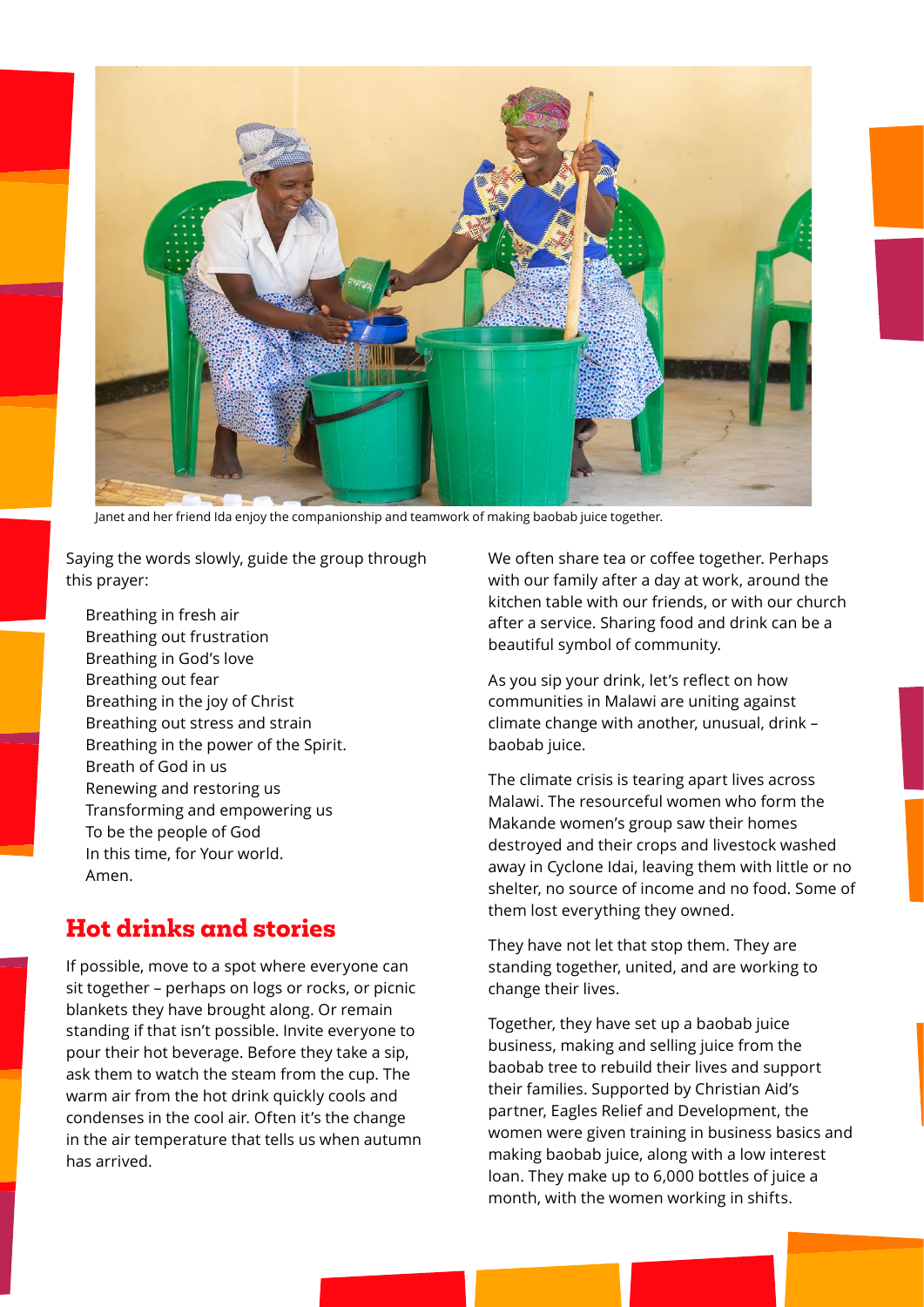

Janet and her friend Ida enjoy the companionship and teamwork of making baobab juice together.

Saying the words slowly, guide the group through this prayer:

Breathing in fresh air Breathing out frustration Breathing in God's love Breathing out fear Breathing in the joy of Christ Breathing out stress and strain Breathing in the power of the Spirit. Breath of God in us Renewing and restoring us Transforming and empowering us To be the people of God In this time, for Your world. Amen.

#### **Hot drinks and stories**

If possible, move to a spot where everyone can sit together – perhaps on logs or rocks, or picnic blankets they have brought along. Or remain standing if that isn't possible. Invite everyone to pour their hot beverage. Before they take a sip, ask them to watch the steam from the cup. The warm air from the hot drink quickly cools and condenses in the cool air. Often it's the change in the air temperature that tells us when autumn has arrived.

We often share tea or coffee together. Perhaps with our family after a day at work, around the kitchen table with our friends, or with our church after a service. Sharing food and drink can be a beautiful symbol of community.

As you sip your drink, let's reflect on how communities in Malawi are uniting against climate change with another, unusual, drink – baobab juice.

The climate crisis is tearing apart lives across Malawi. The resourceful women who form the Makande women's group saw their homes destroyed and their crops and livestock washed away in Cyclone Idai, leaving them with little or no shelter, no source of income and no food. Some of them lost everything they owned.

They have not let that stop them. They are standing together, united, and are working to change their lives.

Together, they have set up a baobab juice business, making and selling juice from the baobab tree to rebuild their lives and support their families. Supported by Christian Aid's partner, Eagles Relief and Development, the women were given training in business basics and making baobab juice, along with a low interest loan. They make up to 6,000 bottles of juice a month, with the women working in shifts.